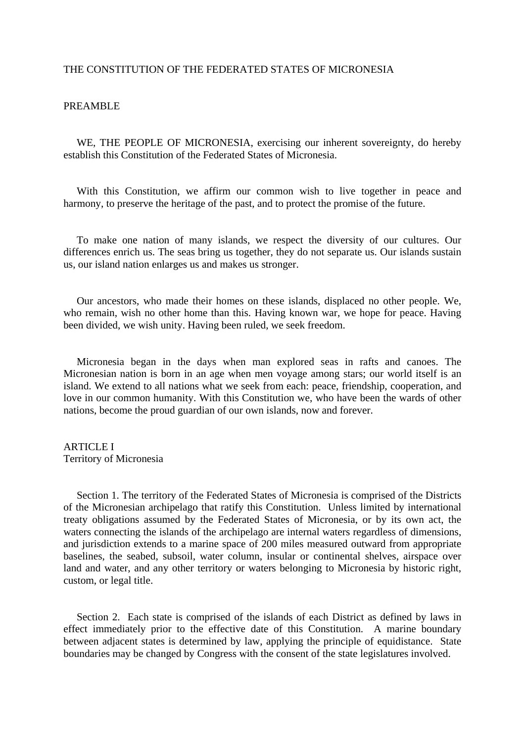### THE CONSTITUTION OF THE FEDERATED STATES OF MICRONESIA

## PREAMBLE

 WE, THE PEOPLE OF MICRONESIA, exercising our inherent sovereignty, do hereby establish this Constitution of the Federated States of Micronesia.

 With this Constitution, we affirm our common wish to live together in peace and harmony, to preserve the heritage of the past, and to protect the promise of the future.

 To make one nation of many islands, we respect the diversity of our cultures. Our differences enrich us. The seas bring us together, they do not separate us. Our islands sustain us, our island nation enlarges us and makes us stronger.

 Our ancestors, who made their homes on these islands, displaced no other people. We, who remain, wish no other home than this. Having known war, we hope for peace. Having been divided, we wish unity. Having been ruled, we seek freedom.

 Micronesia began in the days when man explored seas in rafts and canoes. The Micronesian nation is born in an age when men voyage among stars; our world itself is an island. We extend to all nations what we seek from each: peace, friendship, cooperation, and love in our common humanity. With this Constitution we, who have been the wards of other nations, become the proud guardian of our own islands, now and forever.

## ARTICLE I Territory of Micronesia

 Section 1. The territory of the Federated States of Micronesia is comprised of the Districts of the Micronesian archipelago that ratify this Constitution. Unless limited by international treaty obligations assumed by the Federated States of Micronesia, or by its own act, the waters connecting the islands of the archipelago are internal waters regardless of dimensions, and jurisdiction extends to a marine space of 200 miles measured outward from appropriate baselines, the seabed, subsoil, water column, insular or continental shelves, airspace over land and water, and any other territory or waters belonging to Micronesia by historic right, custom, or legal title.

 Section 2. Each state is comprised of the islands of each District as defined by laws in effect immediately prior to the effective date of this Constitution. A marine boundary between adjacent states is determined by law, applying the principle of equidistance. State boundaries may be changed by Congress with the consent of the state legislatures involved.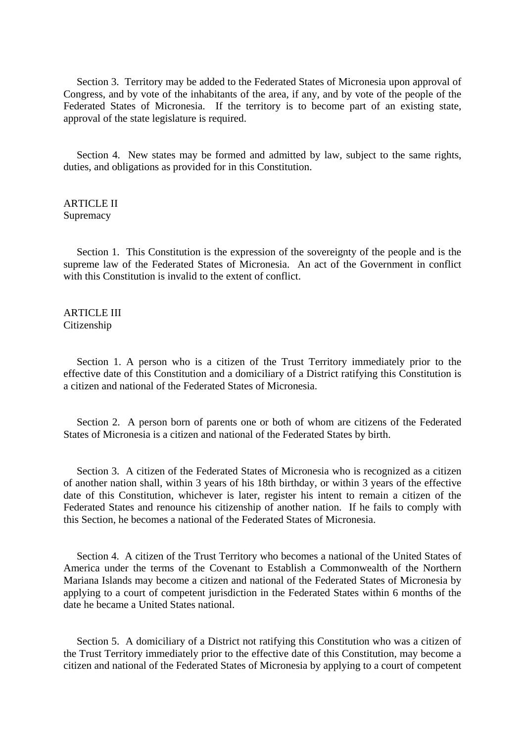Section 3. Territory may be added to the Federated States of Micronesia upon approval of Congress, and by vote of the inhabitants of the area, if any, and by vote of the people of the Federated States of Micronesia. If the territory is to become part of an existing state, approval of the state legislature is required.

 Section 4. New states may be formed and admitted by law, subject to the same rights, duties, and obligations as provided for in this Constitution.

# ARTICLE II Supremacy

 Section 1. This Constitution is the expression of the sovereignty of the people and is the supreme law of the Federated States of Micronesia. An act of the Government in conflict with this Constitution is invalid to the extent of conflict.

ARTICLE III Citizenship

 Section 1. A person who is a citizen of the Trust Territory immediately prior to the effective date of this Constitution and a domiciliary of a District ratifying this Constitution is a citizen and national of the Federated States of Micronesia.

 Section 2. A person born of parents one or both of whom are citizens of the Federated States of Micronesia is a citizen and national of the Federated States by birth.

 Section 3. A citizen of the Federated States of Micronesia who is recognized as a citizen of another nation shall, within 3 years of his 18th birthday, or within 3 years of the effective date of this Constitution, whichever is later, register his intent to remain a citizen of the Federated States and renounce his citizenship of another nation. If he fails to comply with this Section, he becomes a national of the Federated States of Micronesia.

 Section 4. A citizen of the Trust Territory who becomes a national of the United States of America under the terms of the Covenant to Establish a Commonwealth of the Northern Mariana Islands may become a citizen and national of the Federated States of Micronesia by applying to a court of competent jurisdiction in the Federated States within 6 months of the date he became a United States national.

 Section 5. A domiciliary of a District not ratifying this Constitution who was a citizen of the Trust Territory immediately prior to the effective date of this Constitution, may become a citizen and national of the Federated States of Micronesia by applying to a court of competent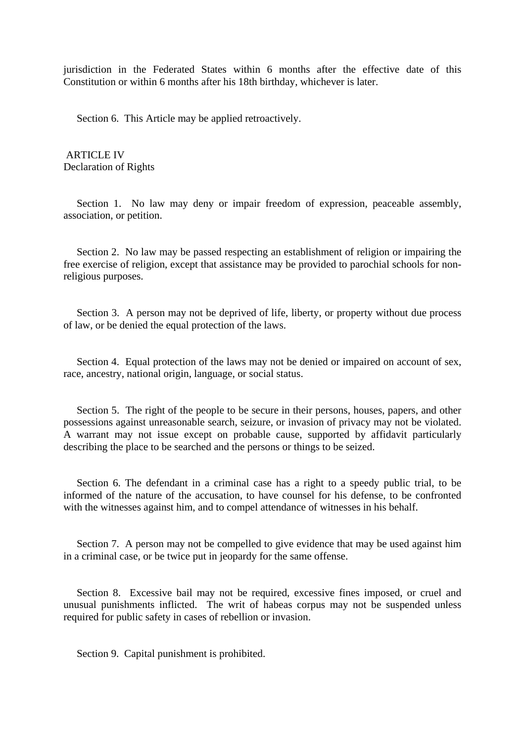jurisdiction in the Federated States within 6 months after the effective date of this Constitution or within 6 months after his 18th birthday, whichever is later.

Section 6. This Article may be applied retroactively.

ARTICLE IV Declaration of Rights

 Section 1. No law may deny or impair freedom of expression, peaceable assembly, association, or petition.

 Section 2. No law may be passed respecting an establishment of religion or impairing the free exercise of religion, except that assistance may be provided to parochial schools for nonreligious purposes.

 Section 3. A person may not be deprived of life, liberty, or property without due process of law, or be denied the equal protection of the laws.

 Section 4. Equal protection of the laws may not be denied or impaired on account of sex, race, ancestry, national origin, language, or social status.

 Section 5. The right of the people to be secure in their persons, houses, papers, and other possessions against unreasonable search, seizure, or invasion of privacy may not be violated. A warrant may not issue except on probable cause, supported by affidavit particularly describing the place to be searched and the persons or things to be seized.

 Section 6. The defendant in a criminal case has a right to a speedy public trial, to be informed of the nature of the accusation, to have counsel for his defense, to be confronted with the witnesses against him, and to compel attendance of witnesses in his behalf.

 Section 7. A person may not be compelled to give evidence that may be used against him in a criminal case, or be twice put in jeopardy for the same offense.

 Section 8. Excessive bail may not be required, excessive fines imposed, or cruel and unusual punishments inflicted. The writ of habeas corpus may not be suspended unless required for public safety in cases of rebellion or invasion.

Section 9. Capital punishment is prohibited.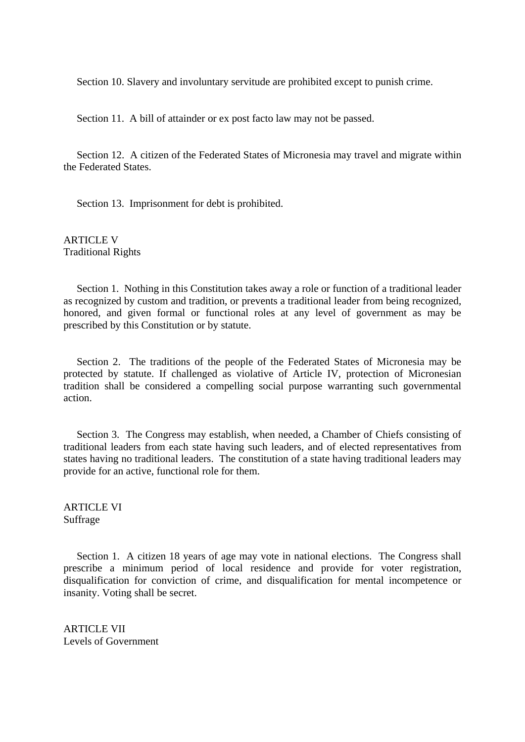Section 10. Slavery and involuntary servitude are prohibited except to punish crime.

Section 11. A bill of attainder or ex post facto law may not be passed.

 Section 12. A citizen of the Federated States of Micronesia may travel and migrate within the Federated States.

Section 13. Imprisonment for debt is prohibited.

ARTICLE V Traditional Rights

 Section 1. Nothing in this Constitution takes away a role or function of a traditional leader as recognized by custom and tradition, or prevents a traditional leader from being recognized, honored, and given formal or functional roles at any level of government as may be prescribed by this Constitution or by statute.

 Section 2. The traditions of the people of the Federated States of Micronesia may be protected by statute. If challenged as violative of Article IV, protection of Micronesian tradition shall be considered a compelling social purpose warranting such governmental action.

 Section 3. The Congress may establish, when needed, a Chamber of Chiefs consisting of traditional leaders from each state having such leaders, and of elected representatives from states having no traditional leaders. The constitution of a state having traditional leaders may provide for an active, functional role for them.

**ARTICLE VI** Suffrage

 Section 1. A citizen 18 years of age may vote in national elections. The Congress shall prescribe a minimum period of local residence and provide for voter registration, disqualification for conviction of crime, and disqualification for mental incompetence or insanity. Voting shall be secret.

**ARTICLE VII** Levels of Government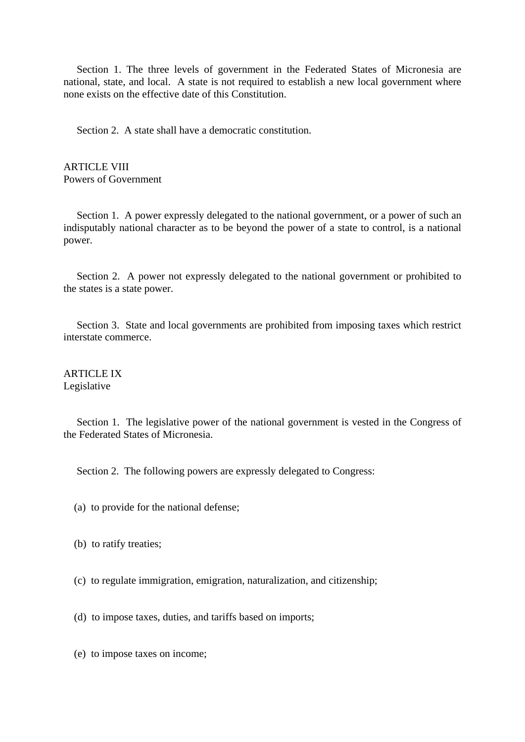Section 1. The three levels of government in the Federated States of Micronesia are national, state, and local. A state is not required to establish a new local government where none exists on the effective date of this Constitution.

Section 2. A state shall have a democratic constitution.

ARTICLE VIII Powers of Government

 Section 1. A power expressly delegated to the national government, or a power of such an indisputably national character as to be beyond the power of a state to control, is a national power.

 Section 2. A power not expressly delegated to the national government or prohibited to the states is a state power.

 Section 3. State and local governments are prohibited from imposing taxes which restrict interstate commerce.

ARTICLE IX Legislative

 Section 1. The legislative power of the national government is vested in the Congress of the Federated States of Micronesia.

Section 2. The following powers are expressly delegated to Congress:

- (a) to provide for the national defense;
- (b) to ratify treaties;
- (c) to regulate immigration, emigration, naturalization, and citizenship;
- (d) to impose taxes, duties, and tariffs based on imports;
- (e) to impose taxes on income;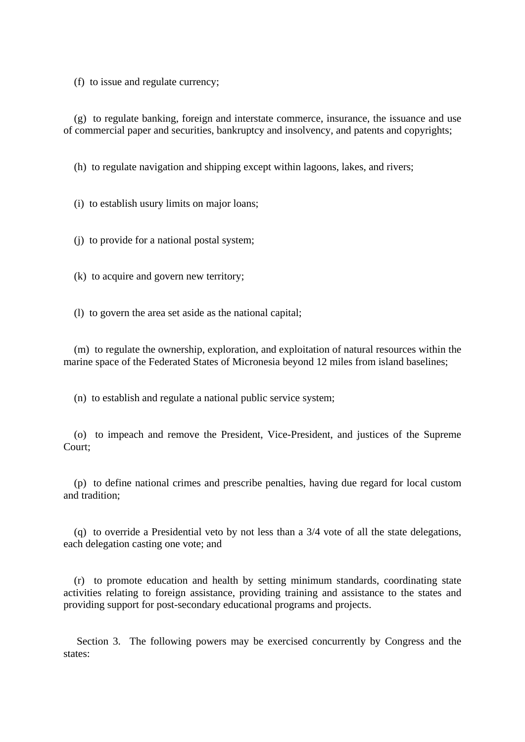(f) to issue and regulate currency;

 (g) to regulate banking, foreign and interstate commerce, insurance, the issuance and use of commercial paper and securities, bankruptcy and insolvency, and patents and copyrights;

(h) to regulate navigation and shipping except within lagoons, lakes, and rivers;

(i) to establish usury limits on major loans;

(j) to provide for a national postal system;

(k) to acquire and govern new territory;

(l) to govern the area set aside as the national capital;

 (m) to regulate the ownership, exploration, and exploitation of natural resources within the marine space of the Federated States of Micronesia beyond 12 miles from island baselines;

(n) to establish and regulate a national public service system;

 (o) to impeach and remove the President, Vice-President, and justices of the Supreme Court;

 (p) to define national crimes and prescribe penalties, having due regard for local custom and tradition;

 (q) to override a Presidential veto by not less than a 3/4 vote of all the state delegations, each delegation casting one vote; and

 (r) to promote education and health by setting minimum standards, coordinating state activities relating to foreign assistance, providing training and assistance to the states and providing support for post-secondary educational programs and projects.

 Section 3. The following powers may be exercised concurrently by Congress and the states: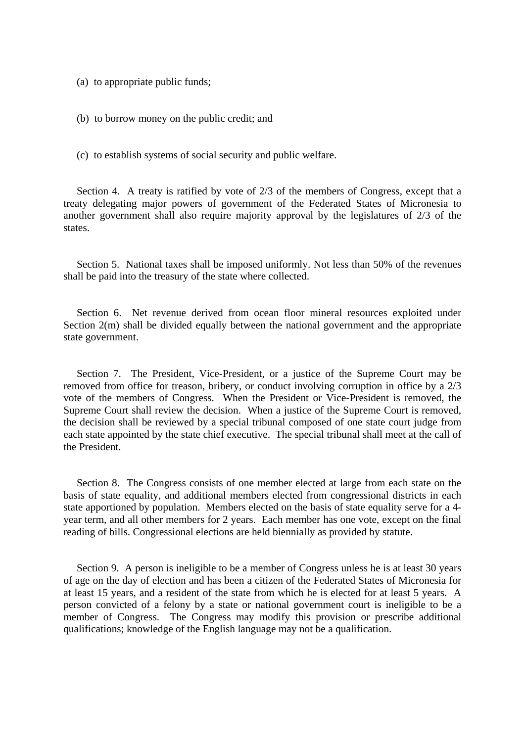(a) to appropriate public funds;

(b) to borrow money on the public credit; and

(c) to establish systems of social security and public welfare.

Section 4. A treaty is ratified by vote of 2/3 of the members of Congress, except that a treaty delegating major powers of government of the Federated States of Micronesia to another government shall also require majority approval by the legislatures of 2/3 of the states.

 Section 5. National taxes shall be imposed uniformly. Not less than 50% of the revenues shall be paid into the treasury of the state where collected.

 Section 6. Net revenue derived from ocean floor mineral resources exploited under Section 2(m) shall be divided equally between the national government and the appropriate state government.

 Section 7. The President, Vice-President, or a justice of the Supreme Court may be removed from office for treason, bribery, or conduct involving corruption in office by a 2/3 vote of the members of Congress. When the President or Vice-President is removed, the Supreme Court shall review the decision. When a justice of the Supreme Court is removed, the decision shall be reviewed by a special tribunal composed of one state court judge from each state appointed by the state chief executive. The special tribunal shall meet at the call of the President.

 Section 8. The Congress consists of one member elected at large from each state on the basis of state equality, and additional members elected from congressional districts in each state apportioned by population. Members elected on the basis of state equality serve for a 4 year term, and all other members for 2 years. Each member has one vote, except on the final reading of bills. Congressional elections are held biennially as provided by statute.

 Section 9. A person is ineligible to be a member of Congress unless he is at least 30 years of age on the day of election and has been a citizen of the Federated States of Micronesia for at least 15 years, and a resident of the state from which he is elected for at least 5 years. A person convicted of a felony by a state or national government court is ineligible to be a member of Congress. The Congress may modify this provision or prescribe additional qualifications; knowledge of the English language may not be a qualification.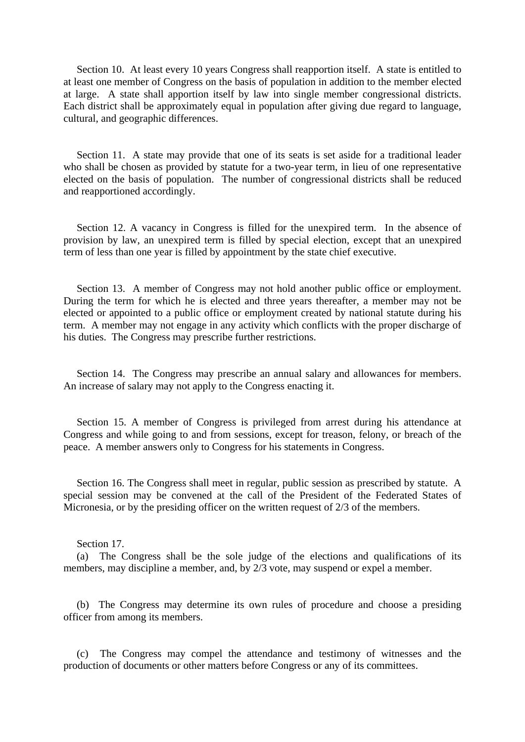Section 10. At least every 10 years Congress shall reapportion itself. A state is entitled to at least one member of Congress on the basis of population in addition to the member elected at large. A state shall apportion itself by law into single member congressional districts. Each district shall be approximately equal in population after giving due regard to language, cultural, and geographic differences.

 Section 11. A state may provide that one of its seats is set aside for a traditional leader who shall be chosen as provided by statute for a two-year term, in lieu of one representative elected on the basis of population. The number of congressional districts shall be reduced and reapportioned accordingly.

 Section 12. A vacancy in Congress is filled for the unexpired term. In the absence of provision by law, an unexpired term is filled by special election, except that an unexpired term of less than one year is filled by appointment by the state chief executive.

 Section 13. A member of Congress may not hold another public office or employment. During the term for which he is elected and three years thereafter, a member may not be elected or appointed to a public office or employment created by national statute during his term. A member may not engage in any activity which conflicts with the proper discharge of his duties. The Congress may prescribe further restrictions.

 Section 14. The Congress may prescribe an annual salary and allowances for members. An increase of salary may not apply to the Congress enacting it.

 Section 15. A member of Congress is privileged from arrest during his attendance at Congress and while going to and from sessions, except for treason, felony, or breach of the peace. A member answers only to Congress for his statements in Congress.

 Section 16. The Congress shall meet in regular, public session as prescribed by statute. A special session may be convened at the call of the President of the Federated States of Micronesia, or by the presiding officer on the written request of 2/3 of the members.

Section 17.

 (a) The Congress shall be the sole judge of the elections and qualifications of its members, may discipline a member, and, by 2/3 vote, may suspend or expel a member.

 (b) The Congress may determine its own rules of procedure and choose a presiding officer from among its members.

 (c) The Congress may compel the attendance and testimony of witnesses and the production of documents or other matters before Congress or any of its committees.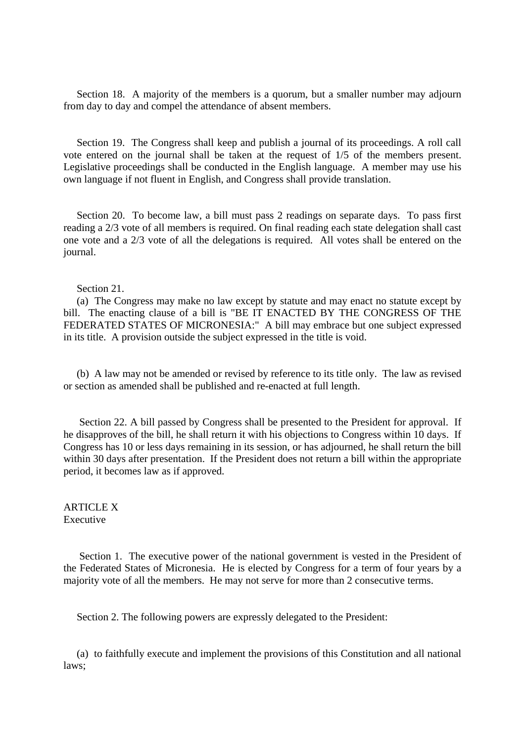Section 18. A majority of the members is a quorum, but a smaller number may adjourn from day to day and compel the attendance of absent members.

 Section 19. The Congress shall keep and publish a journal of its proceedings. A roll call vote entered on the journal shall be taken at the request of 1/5 of the members present. Legislative proceedings shall be conducted in the English language. A member may use his own language if not fluent in English, and Congress shall provide translation.

 Section 20. To become law, a bill must pass 2 readings on separate days. To pass first reading a 2/3 vote of all members is required. On final reading each state delegation shall cast one vote and a 2/3 vote of all the delegations is required. All votes shall be entered on the journal.

### Section 21.

 (a) The Congress may make no law except by statute and may enact no statute except by bill. The enacting clause of a bill is "BE IT ENACTED BY THE CONGRESS OF THE FEDERATED STATES OF MICRONESIA:" A bill may embrace but one subject expressed in its title. A provision outside the subject expressed in the title is void.

 (b) A law may not be amended or revised by reference to its title only. The law as revised or section as amended shall be published and re-enacted at full length.

 Section 22. A bill passed by Congress shall be presented to the President for approval. If he disapproves of the bill, he shall return it with his objections to Congress within 10 days. If Congress has 10 or less days remaining in its session, or has adjourned, he shall return the bill within 30 days after presentation. If the President does not return a bill within the appropriate period, it becomes law as if approved.

## **ARTICLE X** Executive

 Section 1. The executive power of the national government is vested in the President of the Federated States of Micronesia. He is elected by Congress for a term of four years by a majority vote of all the members. He may not serve for more than 2 consecutive terms.

Section 2. The following powers are expressly delegated to the President:

 (a) to faithfully execute and implement the provisions of this Constitution and all national laws;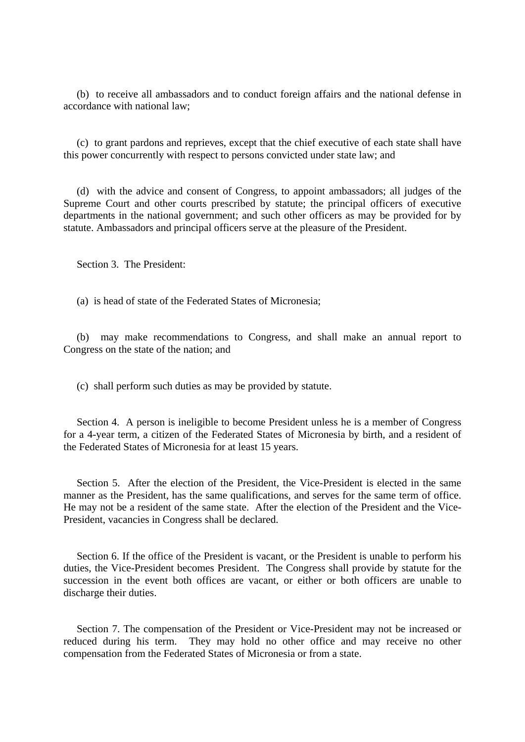(b) to receive all ambassadors and to conduct foreign affairs and the national defense in accordance with national law;

 (c) to grant pardons and reprieves, except that the chief executive of each state shall have this power concurrently with respect to persons convicted under state law; and

 (d) with the advice and consent of Congress, to appoint ambassadors; all judges of the Supreme Court and other courts prescribed by statute; the principal officers of executive departments in the national government; and such other officers as may be provided for by statute. Ambassadors and principal officers serve at the pleasure of the President.

Section 3. The President:

(a) is head of state of the Federated States of Micronesia;

 (b) may make recommendations to Congress, and shall make an annual report to Congress on the state of the nation; and

(c) shall perform such duties as may be provided by statute.

 Section 4. A person is ineligible to become President unless he is a member of Congress for a 4-year term, a citizen of the Federated States of Micronesia by birth, and a resident of the Federated States of Micronesia for at least 15 years.

 Section 5. After the election of the President, the Vice-President is elected in the same manner as the President, has the same qualifications, and serves for the same term of office. He may not be a resident of the same state. After the election of the President and the Vice-President, vacancies in Congress shall be declared.

 Section 6. If the office of the President is vacant, or the President is unable to perform his duties, the Vice-President becomes President. The Congress shall provide by statute for the succession in the event both offices are vacant, or either or both officers are unable to discharge their duties.

 Section 7. The compensation of the President or Vice-President may not be increased or reduced during his term. They may hold no other office and may receive no other compensation from the Federated States of Micronesia or from a state.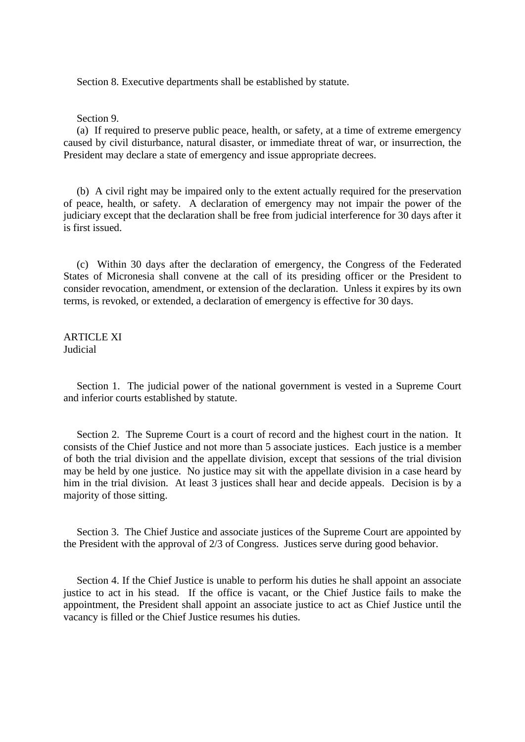Section 8. Executive departments shall be established by statute.

Section 9.

 (a) If required to preserve public peace, health, or safety, at a time of extreme emergency caused by civil disturbance, natural disaster, or immediate threat of war, or insurrection, the President may declare a state of emergency and issue appropriate decrees.

 (b) A civil right may be impaired only to the extent actually required for the preservation of peace, health, or safety. A declaration of emergency may not impair the power of the judiciary except that the declaration shall be free from judicial interference for 30 days after it is first issued.

 (c) Within 30 days after the declaration of emergency, the Congress of the Federated States of Micronesia shall convene at the call of its presiding officer or the President to consider revocation, amendment, or extension of the declaration. Unless it expires by its own terms, is revoked, or extended, a declaration of emergency is effective for 30 days.

ARTICLE XI Judicial

 Section 1. The judicial power of the national government is vested in a Supreme Court and inferior courts established by statute.

 Section 2. The Supreme Court is a court of record and the highest court in the nation. It consists of the Chief Justice and not more than 5 associate justices. Each justice is a member of both the trial division and the appellate division, except that sessions of the trial division may be held by one justice. No justice may sit with the appellate division in a case heard by him in the trial division. At least 3 justices shall hear and decide appeals. Decision is by a majority of those sitting.

 Section 3. The Chief Justice and associate justices of the Supreme Court are appointed by the President with the approval of 2/3 of Congress. Justices serve during good behavior.

 Section 4. If the Chief Justice is unable to perform his duties he shall appoint an associate justice to act in his stead. If the office is vacant, or the Chief Justice fails to make the appointment, the President shall appoint an associate justice to act as Chief Justice until the vacancy is filled or the Chief Justice resumes his duties.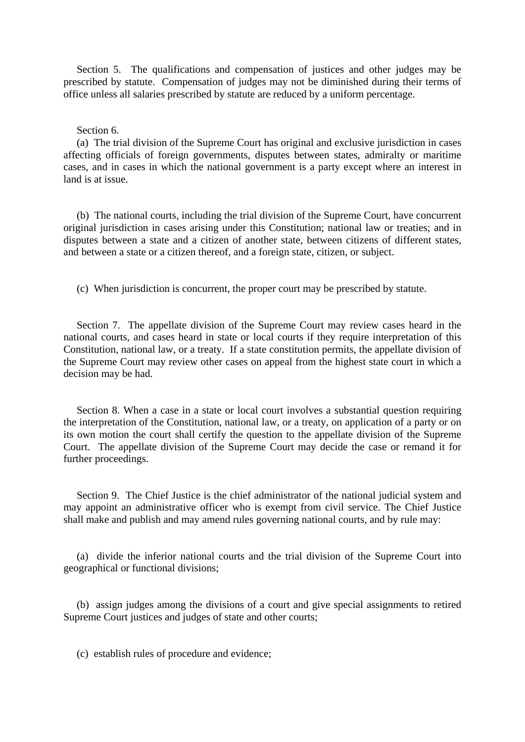Section 5. The qualifications and compensation of justices and other judges may be prescribed by statute. Compensation of judges may not be diminished during their terms of office unless all salaries prescribed by statute are reduced by a uniform percentage.

### Section 6.

 (a) The trial division of the Supreme Court has original and exclusive jurisdiction in cases affecting officials of foreign governments, disputes between states, admiralty or maritime cases, and in cases in which the national government is a party except where an interest in land is at issue.

 (b) The national courts, including the trial division of the Supreme Court, have concurrent original jurisdiction in cases arising under this Constitution; national law or treaties; and in disputes between a state and a citizen of another state, between citizens of different states, and between a state or a citizen thereof, and a foreign state, citizen, or subject.

(c) When jurisdiction is concurrent, the proper court may be prescribed by statute.

 Section 7. The appellate division of the Supreme Court may review cases heard in the national courts, and cases heard in state or local courts if they require interpretation of this Constitution, national law, or a treaty. If a state constitution permits, the appellate division of the Supreme Court may review other cases on appeal from the highest state court in which a decision may be had.

 Section 8. When a case in a state or local court involves a substantial question requiring the interpretation of the Constitution, national law, or a treaty, on application of a party or on its own motion the court shall certify the question to the appellate division of the Supreme Court. The appellate division of the Supreme Court may decide the case or remand it for further proceedings.

 Section 9. The Chief Justice is the chief administrator of the national judicial system and may appoint an administrative officer who is exempt from civil service. The Chief Justice shall make and publish and may amend rules governing national courts, and by rule may:

 (a) divide the inferior national courts and the trial division of the Supreme Court into geographical or functional divisions;

 (b) assign judges among the divisions of a court and give special assignments to retired Supreme Court justices and judges of state and other courts;

(c) establish rules of procedure and evidence;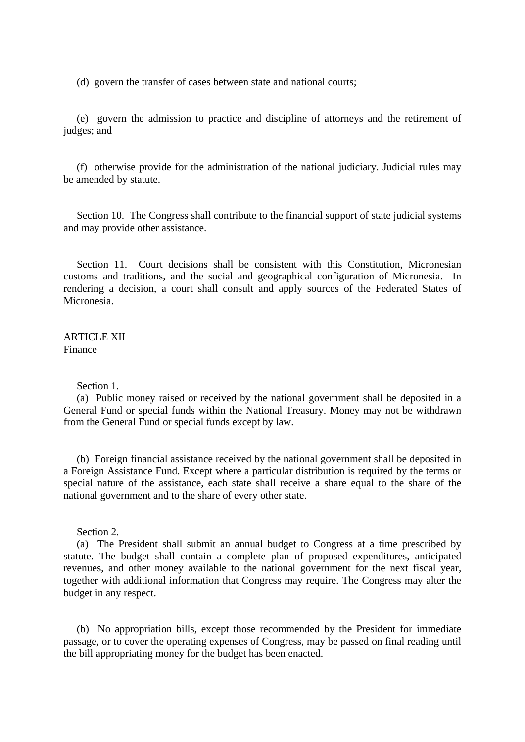(d) govern the transfer of cases between state and national courts;

 (e) govern the admission to practice and discipline of attorneys and the retirement of judges; and

 (f) otherwise provide for the administration of the national judiciary. Judicial rules may be amended by statute.

 Section 10. The Congress shall contribute to the financial support of state judicial systems and may provide other assistance.

 Section 11. Court decisions shall be consistent with this Constitution, Micronesian customs and traditions, and the social and geographical configuration of Micronesia. In rendering a decision, a court shall consult and apply sources of the Federated States of Micronesia.

ARTICLE XII Finance

Section 1.

 (a) Public money raised or received by the national government shall be deposited in a General Fund or special funds within the National Treasury. Money may not be withdrawn from the General Fund or special funds except by law.

 (b) Foreign financial assistance received by the national government shall be deposited in a Foreign Assistance Fund. Except where a particular distribution is required by the terms or special nature of the assistance, each state shall receive a share equal to the share of the national government and to the share of every other state.

Section 2.

 (a) The President shall submit an annual budget to Congress at a time prescribed by statute. The budget shall contain a complete plan of proposed expenditures, anticipated revenues, and other money available to the national government for the next fiscal year, together with additional information that Congress may require. The Congress may alter the budget in any respect.

 (b) No appropriation bills, except those recommended by the President for immediate passage, or to cover the operating expenses of Congress, may be passed on final reading until the bill appropriating money for the budget has been enacted.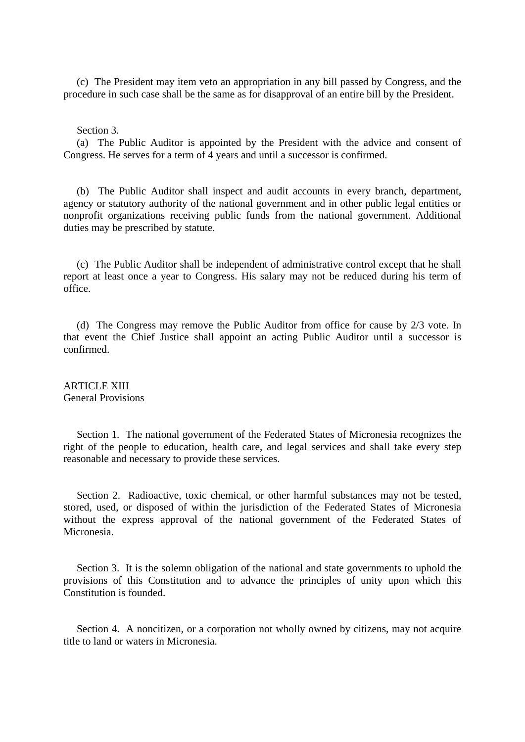(c) The President may item veto an appropriation in any bill passed by Congress, and the procedure in such case shall be the same as for disapproval of an entire bill by the President.

Section 3.

 (a) The Public Auditor is appointed by the President with the advice and consent of Congress. He serves for a term of 4 years and until a successor is confirmed.

 (b) The Public Auditor shall inspect and audit accounts in every branch, department, agency or statutory authority of the national government and in other public legal entities or nonprofit organizations receiving public funds from the national government. Additional duties may be prescribed by statute.

 (c) The Public Auditor shall be independent of administrative control except that he shall report at least once a year to Congress. His salary may not be reduced during his term of office.

 (d) The Congress may remove the Public Auditor from office for cause by 2/3 vote. In that event the Chief Justice shall appoint an acting Public Auditor until a successor is confirmed.

ARTICLE XIII General Provisions

 Section 1. The national government of the Federated States of Micronesia recognizes the right of the people to education, health care, and legal services and shall take every step reasonable and necessary to provide these services.

 Section 2. Radioactive, toxic chemical, or other harmful substances may not be tested, stored, used, or disposed of within the jurisdiction of the Federated States of Micronesia without the express approval of the national government of the Federated States of Micronesia.

 Section 3. It is the solemn obligation of the national and state governments to uphold the provisions of this Constitution and to advance the principles of unity upon which this Constitution is founded.

 Section 4. A noncitizen, or a corporation not wholly owned by citizens, may not acquire title to land or waters in Micronesia.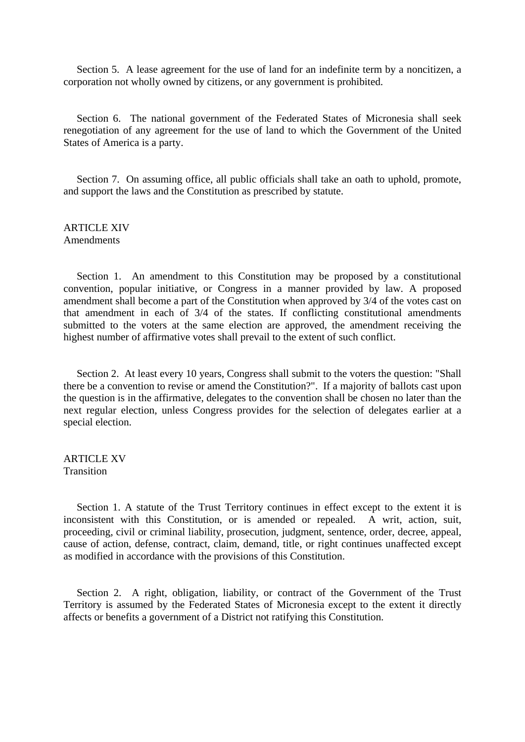Section 5. A lease agreement for the use of land for an indefinite term by a noncitizen, a corporation not wholly owned by citizens, or any government is prohibited.

 Section 6. The national government of the Federated States of Micronesia shall seek renegotiation of any agreement for the use of land to which the Government of the United States of America is a party.

 Section 7. On assuming office, all public officials shall take an oath to uphold, promote, and support the laws and the Constitution as prescribed by statute.

ARTICLE XIV Amendments

 Section 1. An amendment to this Constitution may be proposed by a constitutional convention, popular initiative, or Congress in a manner provided by law. A proposed amendment shall become a part of the Constitution when approved by 3/4 of the votes cast on that amendment in each of 3/4 of the states. If conflicting constitutional amendments submitted to the voters at the same election are approved, the amendment receiving the highest number of affirmative votes shall prevail to the extent of such conflict.

Section 2. At least every 10 years, Congress shall submit to the voters the question: "Shall there be a convention to revise or amend the Constitution?". If a majority of ballots cast upon the question is in the affirmative, delegates to the convention shall be chosen no later than the next regular election, unless Congress provides for the selection of delegates earlier at a special election.

ARTICLE XV Transition

 Section 1. A statute of the Trust Territory continues in effect except to the extent it is inconsistent with this Constitution, or is amended or repealed. A writ, action, suit, proceeding, civil or criminal liability, prosecution, judgment, sentence, order, decree, appeal, cause of action, defense, contract, claim, demand, title, or right continues unaffected except as modified in accordance with the provisions of this Constitution.

 Section 2. A right, obligation, liability, or contract of the Government of the Trust Territory is assumed by the Federated States of Micronesia except to the extent it directly affects or benefits a government of a District not ratifying this Constitution.